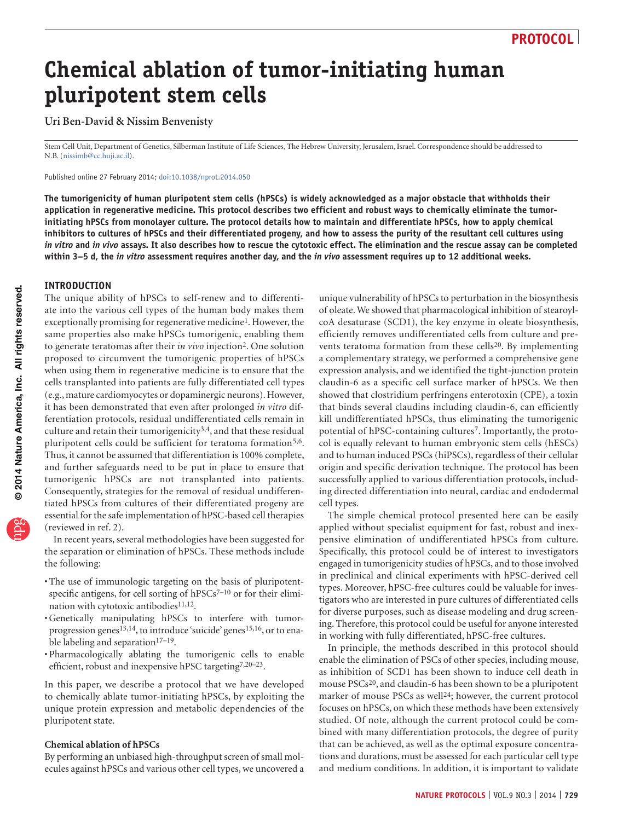# **Chemical ablation of tumor-initiating human pluripotent stem cells**

**Uri Ben-David & Nissim Benvenisty**

Stem Cell Unit, Department of Genetics, Silberman Institute of Life Sciences, The Hebrew University, Jerusalem, Israel. Correspondence should be addressed to N.B. (nissimb@cc.huji.ac.il).

Published online 27 February 2014; [doi:10.1038/nprot.2014.050](http://www.nature.com/doifinder/10.1038/nprot.2014.050)

**The tumorigenicity of human pluripotent stem cells (hPSCs) is widely acknowledged as a major obstacle that withholds their application in regenerative medicine. This protocol describes two efficient and robust ways to chemically eliminate the tumorinitiating hPSCs from monolayer culture. The protocol details how to maintain and differentiate hPSCs, how to apply chemical inhibitors to cultures of hPSCs and their differentiated progeny, and how to assess the purity of the resultant cell cultures using**  *in vitro* **and** *in vivo* **assays. It also describes how to rescue the cytotoxic effect. The elimination and the rescue assay can be completed within 3–5 d, the** *in vitro* **assessment requires another day, and the** *in vivo* **assessment requires up to 12 additional weeks.**

#### **INTRODUCTION**

The unique ability of hPSCs to self-renew and to differentiate into the various cell types of the human body makes them exceptionally promising for regenerative medicine<sup>[1](#page-10-0)</sup>. However, the same properties also make hPSCs tumorigenic, enabling them to generate teratomas after their *in vivo* injectio[n2.](#page-10-1) One solution proposed to circumvent the tumorigenic properties of hPSCs when using them in regenerative medicine is to ensure that the cells transplanted into patients are fully differentiated cell types (e.g., mature cardiomyocytes or dopaminergic neurons). However, it has been demonstrated that even after prolonged *in vitro* differentiation protocols, residual undifferentiated cells remain in culture and retain their tumorigenicity<sup>3,4</sup>, and that these residual pluripotent cells could be sufficient for teratoma formation<sup>5,6</sup>. Thus, it cannot be assumed that differentiation is 100% complete, and further safeguards need to be put in place to ensure that tumorigenic hPSCs are not transplanted into patients. Consequently, strategies for the removal of residual undifferentiated hPSCs from cultures of their differentiated progeny are essential for the safe implementation of hPSC-based cell therapies (reviewed in ref. [2](#page-10-1)).

In recent years, several methodologies have been suggested for the separation or elimination of hPSCs. These methods include the following:

- The use of immunologic targeting on the basis of pluripotent-• specific antigens, for cell sorting of  $hPSCs^{7-10}$  or for their elimination with cytotoxic antibodies<sup>11,12</sup>.
- Genetically manipulating hPSCs to interfere with tumor-• progression genes<sup>[13,14](#page-11-2)</sup>, to introduce 'suicide' genes<sup>15,16</sup>, or to enable labeling and separation<sup>17-19</sup>.
- Pharmacologically ablating the tumorigenic cells to enable efficient, robust and inexpensive hPSC targetin[g7,20–23.](#page-11-0)

In this paper, we describe a protocol that we have developed to chemically ablate tumor-initiating hPSCs, by exploiting the unique protein expression and metabolic dependencies of the pluripotent state.

#### **Chemical ablation of hPSCs**

By performing an unbiased high-throughput screen of small molecules against hPSCs and various other cell types, we uncovered a

unique vulnerability of hPSCs to perturbation in the biosynthesis of oleate. We showed that pharmacological inhibition of stearoylcoA desaturase (SCD1), the key enzyme in oleate biosynthesis, efficiently removes undifferentiated cells from culture and pre-vents teratoma formation from these cells<sup>[20](#page-11-5)</sup>. By implementing a complementary strategy, we performed a comprehensive gene expression analysis, and we identified the tight-junction protein claudin-6 as a specific cell surface marker of hPSCs. We then showed that clostridium perfringens enterotoxin (CPE), a toxin that binds several claudins including claudin-6, can efficiently kill undifferentiated hPSCs, thus eliminating the tumorigenic potential of hPSC-containing cultures<sup>[7](#page-11-0)</sup>. Importantly, the protocol is equally relevant to human embryonic stem cells (hESCs) and to human induced PSCs (hiPSCs), regardless of their cellular origin and specific derivation technique. The protocol has been successfully applied to various differentiation protocols, including directed differentiation into neural, cardiac and endodermal cell types.

The simple chemical protocol presented here can be easily applied without specialist equipment for fast, robust and inexpensive elimination of undifferentiated hPSCs from culture. Specifically, this protocol could be of interest to investigators engaged in tumorigenicity studies of hPSCs, and to those involved in preclinical and clinical experiments with hPSC-derived cell types. Moreover, hPSC-free cultures could be valuable for investigators who are interested in pure cultures of differentiated cells for diverse purposes, such as disease modeling and drug screening. Therefore, this protocol could be useful for anyone interested in working with fully differentiated, hPSC-free cultures.

In principle, the methods described in this protocol should enable the elimination of PSCs of other species, including mouse, as inhibition of SCD1 has been shown to induce cell death in mouse PSC[s20](#page-11-5), and claudin-6 has been shown to be a pluripotent marker of mouse PSCs as well<sup>24</sup>; however, the current protocol focuses on hPSCs, on which these methods have been extensively studied. Of note, although the current protocol could be combined with many differentiation protocols, the degree of purity that can be achieved, as well as the optimal exposure concentrations and durations, must be assessed for each particular cell type and medium conditions. In addition, it is important to validate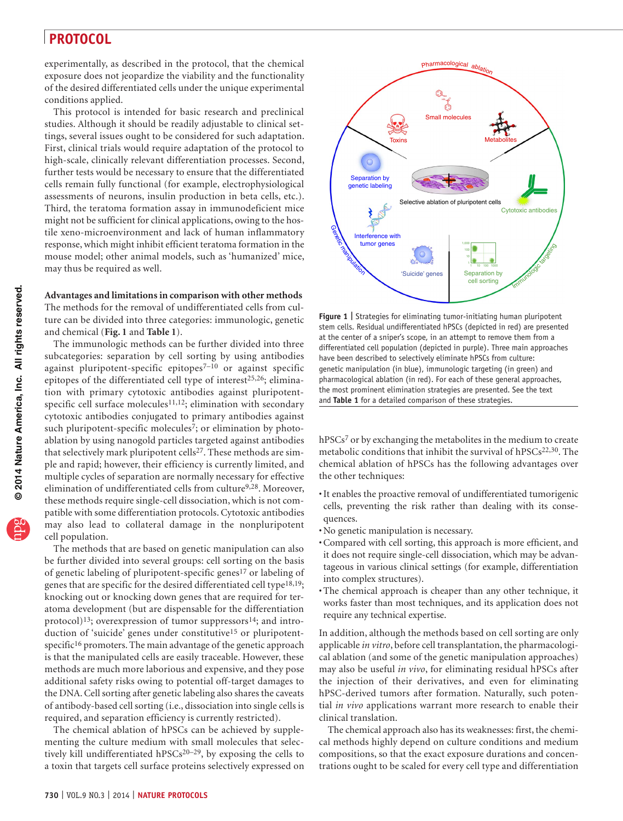experimentally, as described in the protocol, that the chemical exposure does not jeopardize the viability and the functionality of the desired differentiated cells under the unique experimental conditions applied.

This protocol is intended for basic research and preclinical studies. Although it should be readily adjustable to clinical settings, several issues ought to be considered for such adaptation. First, clinical trials would require adaptation of the protocol to high-scale, clinically relevant differentiation processes. Second, further tests would be necessary to ensure that the differentiated cells remain fully functional (for example, electrophysiological assessments of neurons, insulin production in beta cells, etc.). Third, the teratoma formation assay in immunodeficient mice might not be sufficient for clinical applications, owing to the hostile xeno-microenvironment and lack of human inflammatory response, which might inhibit efficient teratoma formation in the mouse model; other animal models, such as 'humanized' mice, may thus be required as well.

#### **Advantages and limitations in comparison with other methods**

The methods for the removal of undifferentiated cells from culture can be divided into three categories: immunologic, genetic and chemical (**[Fig. 1](#page-1-0)** and **[Table 1](#page-2-0)**).

The immunologic methods can be further divided into three subcategories: separation by cell sorting by using antibodies against pluripotent-specific epitopes<sup>7-10</sup> or against specific epitopes of the differentiated cell type of interest<sup>25,26</sup>; elimination with primary cytotoxic antibodies against pluripotentspecific cell surface molecules<sup>11,12</sup>; elimination with secondary cytotoxic antibodies conjugated to primary antibodies against such pluripotent-specific molecules<sup>[7](#page-11-0)</sup>; or elimination by photoablation by using nanogold particles targeted against antibodies that selectively mark pluripotent cells<sup>27</sup>. These methods are simple and rapid; however, their efficiency is currently limited, and multiple cycles of separation are normally necessary for effective elimination of undifferentiated cells from culture<sup>[9,28](#page-11-9)</sup>. Moreover, these methods require single-cell dissociation, which is not compatible with some differentiation protocols. Cytotoxic antibodies may also lead to collateral damage in the nonpluripotent cell population.

The methods that are based on genetic manipulation can also be further divided into several groups: cell sorting on the basis of genetic labeling of pluripotent-specific genes<sup>17</sup> or labeling of genes that are specific for the desired differentiated cell type[18,19;](#page-11-10) knocking out or knocking down genes that are required for teratoma development (but are dispensable for the differentiation protocol)<sup>13</sup>; overexpression of tumor suppressors<sup>[14](#page-11-11)</sup>; and introduction of 'suicide' genes under constitutive<sup>15</sup> or pluripotentspecific<sup>16</sup> promoters. The main advantage of the genetic approach is that the manipulated cells are easily traceable. However, these methods are much more laborious and expensive, and they pose additional safety risks owing to potential off-target damages to the DNA. Cell sorting after genetic labeling also shares the caveats of antibody-based cell sorting (i.e., dissociation into single cells is required, and separation efficiency is currently restricted).

The chemical ablation of hPSCs can be achieved by supplementing the culture medium with small molecules that selectively kill undifferentiated hPSCs[20–29,](#page-11-5) by exposing the cells to a toxin that targets cell surface proteins selectively expressed on



<span id="page-1-0"></span>**Figure 1 |** Strategies for eliminating tumor-initiating human pluripotent stem cells. Residual undifferentiated hPSCs (depicted in red) are presented at the center of a sniper's scope, in an attempt to remove them from a differentiated cell population (depicted in purple). Three main approaches have been described to selectively eliminate hPSCs from culture: genetic manipulation (in blue), immunologic targeting (in green) and pharmacological ablation (in red). For each of these general approaches, the most prominent elimination strategies are presented. See the text and **[Table 1](#page-2-0)** for a detailed comparison of these strategies.

hPSCs<sup>[7](#page-11-0)</sup> or by exchanging the metabolites in the medium to create metabolic conditions that inhibit the survival of hPSCs<sup>[22,30](#page-11-13)</sup>. The chemical ablation of hPSCs has the following advantages over the other techniques:

- It enables the proactive removal of undifferentiated tumorigenic cells, preventing the risk rather than dealing with its consequences.
- No genetic manipulation is necessary. •
- Compared with cell sorting, this approach is more efficient, and it does not require single-cell dissociation, which may be advantageous in various clinical settings (for example, differentiation into complex structures).
- The chemical approach is cheaper than any other technique, it works faster than most techniques, and its application does not require any technical expertise.

In addition, although the methods based on cell sorting are only applicable *in vitro*, before cell transplantation, the pharmacological ablation (and some of the genetic manipulation approaches) may also be useful *in vivo*, for eliminating residual hPSCs after the injection of their derivatives, and even for eliminating hPSC-derived tumors after formation. Naturally, such potential *in vivo* applications warrant more research to enable their clinical translation.

The chemical approach also has its weaknesses: first, the chemical methods highly depend on culture conditions and medium compositions, so that the exact exposure durations and concentrations ought to be scaled for every cell type and differentiation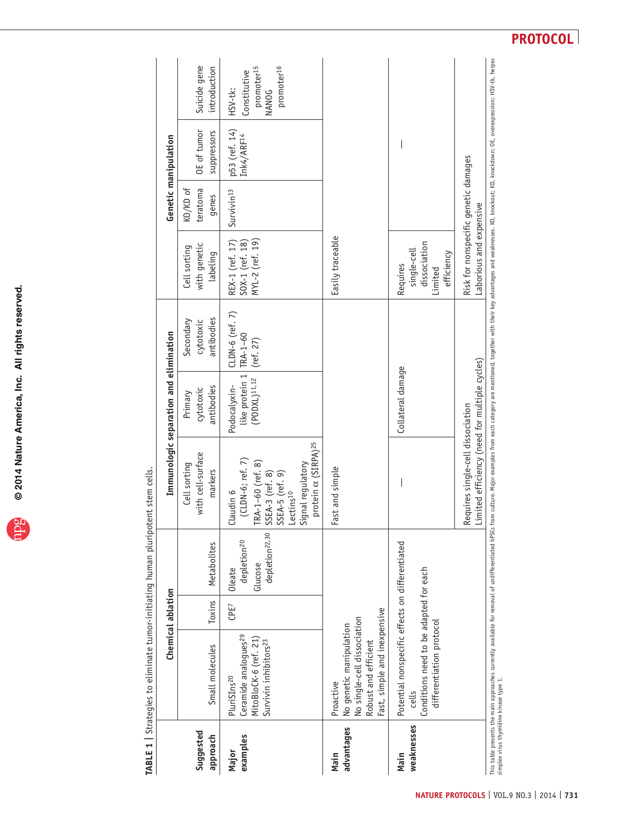| i            |
|--------------|
| All rig      |
|              |
| g<br>S       |
| <b>SACTE</b> |
| י<br>י       |
| @201'        |
|              |

 $\vec{r}$ 

<span id="page-2-0"></span>

TABLE 1 Strategies to eliminate tumor-initiating human plunpotent stem cells. **Table 1 |** Strategies to eliminate tumor-initiating human pluripotent stem cells.

|                                        |                                                                                                                                | Chemical ablation |                                                                            |                                                                                                                                                                                                                                | Immunologic separation and elimination                                            |                                      |                                                                  |                               | Genetic manipulation                    |                                                                                             |
|----------------------------------------|--------------------------------------------------------------------------------------------------------------------------------|-------------------|----------------------------------------------------------------------------|--------------------------------------------------------------------------------------------------------------------------------------------------------------------------------------------------------------------------------|-----------------------------------------------------------------------------------|--------------------------------------|------------------------------------------------------------------|-------------------------------|-----------------------------------------|---------------------------------------------------------------------------------------------|
| Suggested<br>approach                  | Small molecules                                                                                                                | Toxins            | Metabolites                                                                | with cell-surface<br>Cell sorting<br>markers                                                                                                                                                                                   | antibodies<br>cytotoxic<br>Primary                                                | antibodies<br>Secondary<br>cytotoxic | with genetic<br>Cell sorting<br>labeling                         | teratoma<br>KO/KD of<br>genes | OE of tumor<br>suppressors              | Suicide gene<br>introduction                                                                |
| examples<br>Major                      | Ceramide analogues <sup>29</sup><br>MitoBloCK-6 (ref. 21)<br>Survivin inhibitors <sup>23</sup><br>PluriSIns <sup>20</sup>      | CPE <sup>7</sup>  | depletion <sup>22,30</sup><br>depletion <sup>20</sup><br>Glucose<br>Oleate | protein a (SIRPA) <sup>25</sup><br>(CLDN-6; ref. 7)<br>FRA-1-60 (ref. 8)<br>Signal regulatory<br>SSEA-3 (ref. 8)<br>SSEA-5 (ref. 9)<br>Claudin 6<br>-ectins <sup>10</sup>                                                      | like protein 1   TRA-1-60<br>(PODXL) <sup>11,12</sup>   (ref. 27)<br>Podocalyxin- | CLDN-6 (ref. 7)<br>TRA-1-60          | SOX-1 (ref. 18)<br>MYL-2 (ref. 19)<br>REX-1 (ref. 17)            | Survivin <sup>13</sup>        | p53 (ref. 14)<br>Ink4/ARF <sup>14</sup> | promoter <sup>15</sup><br>promoter <sup>16</sup><br>Constitutive<br>HSV-tk:<br><b>NANOG</b> |
| advantages<br>Main                     | Fast, simple and inexpensive<br>No single-cell dissociation<br>No genetic manipulation<br>Robust and efficient<br>Proactive    |                   |                                                                            | Fast and simple                                                                                                                                                                                                                |                                                                                   |                                      | Easily traceable                                                 |                               |                                         |                                                                                             |
| weaknesses<br>Main                     | Potential nonspecific effects on differentiated<br>Conditions need to be adapted for each<br>differentiation protocol<br>cells |                   |                                                                            |                                                                                                                                                                                                                                | Collateral damage                                                                 |                                      | dissociation<br>single-cell<br>efficiency<br>Requires<br>Limited |                               | I                                       |                                                                                             |
|                                        |                                                                                                                                |                   |                                                                            | imited efficiency (need for multiple cycles)<br>Requires single-cell dissociation                                                                                                                                              |                                                                                   |                                      | Risk for nonspecific genetic damages<br>Laborious and expensive  |                               |                                         |                                                                                             |
| simplex virus thymidine kinase type 1. |                                                                                                                                |                   |                                                                            | This table presents the main approaches currently available for removal of undifferentiated hPSCs from culture. Major examples from each category are mentioned, together with their key advantages and weaknesses. KO, knocko |                                                                                   |                                      |                                                                  |                               |                                         |                                                                                             |

## **protocol**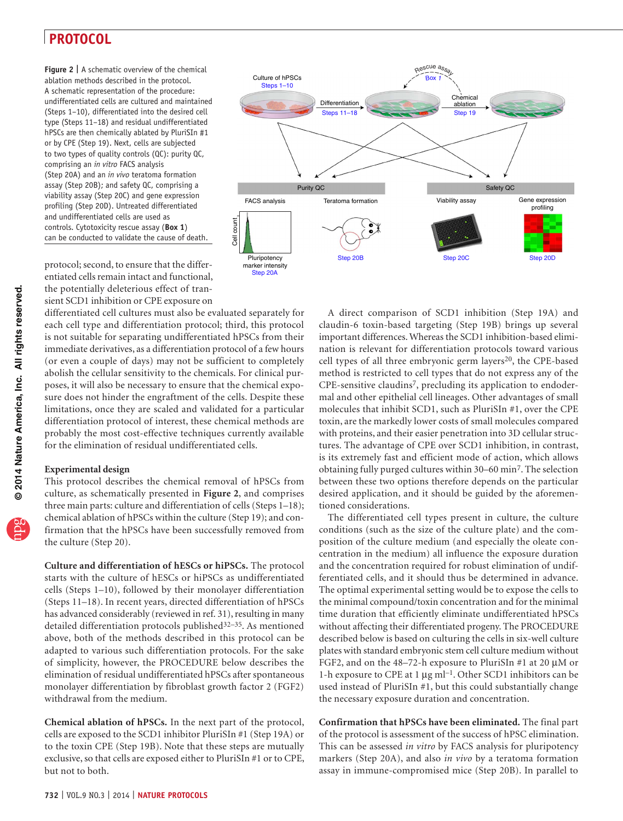<span id="page-3-0"></span>**Figure 2 |** A schematic overview of the chemical ablation methods described in the protocol. A schematic representation of the procedure: undifferentiated cells are cultured and maintained (Steps 1–10), differentiated into the desired cell type (Steps 11–18) and residual undifferentiated hPSCs are then chemically ablated by PluriSIn #1 or by CPE (Step 19). Next, cells are subjected to two types of quality controls (QC): purity QC, comprising an *in vitro* FACS analysis (Step 20A) and an *in vivo* teratoma formation assay (Step 20B); and safety QC, comprising a viability assay (Step 20C) and gene expression profiling (Step 20D). Untreated differentiated and undifferentiated cells are used as controls. Cytotoxicity rescue assay (**[Box 1](#page-4-0)**) can be conducted to validate the cause of death.

protocol; second, to ensure that the differentiated cells remain intact and functional, the potentially deleterious effect of transient SCD1 inhibition or CPE exposure on

differentiated cell cultures must also be evaluated separately for each cell type and differentiation protocol; third, this protocol is not suitable for separating undifferentiated hPSCs from their immediate derivatives, as a differentiation protocol of a few hours (or even a couple of days) may not be sufficient to completely abolish the cellular sensitivity to the chemicals. For clinical purposes, it will also be necessary to ensure that the chemical exposure does not hinder the engraftment of the cells. Despite these limitations, once they are scaled and validated for a particular differentiation protocol of interest, these chemical methods are probably the most cost-effective techniques currently available for the elimination of residual undifferentiated cells.

#### **Experimental design**

This protocol describes the chemical removal of hPSCs from culture, as schematically presented in **[Figure 2](#page-3-0)**, and comprises three main parts: culture and differentiation of cells (Steps 1–18); chemical ablation of hPSCs within the culture (Step 19); and confirmation that the hPSCs have been successfully removed from the culture (Step 20).

**Culture and differentiation of hESCs or hiPSCs.** The protocol starts with the culture of hESCs or hiPSCs as undifferentiated cells (Steps 1–10), followed by their monolayer differentiation (Steps 11–18). In recent years, directed differentiation of hPSCs has advanced considerably (reviewed in ref. [31\)](#page-11-20), resulting in many detailed differentiation protocols published<sup>32-35</sup>. As mentioned above, both of the methods described in this protocol can be adapted to various such differentiation protocols. For the sake of simplicity, however, the PROCEDURE below describes the elimination of residual undifferentiated hPSCs after spontaneous monolayer differentiation by fibroblast growth factor 2 (FGF2) withdrawal from the medium.

**Chemical ablation of hPSCs.** In the next part of the protocol, cells are exposed to the SCD1 inhibitor PluriSIn #1 (Step 19A) or to the toxin CPE (Step 19B). Note that these steps are mutually exclusive, so that cells are exposed either to PluriSIn #1 or to CPE, but not to both.



A direct comparison of SCD1 inhibition (Step 19A) and claudin-6 toxin-based targeting (Step 19B) brings up several important differences. Whereas the SCD1 inhibition-based elimination is relevant for differentiation protocols toward various cell types of all three embryonic germ layers<sup>20</sup>, the CPE-based method is restricted to cell types that do not express any of the CPE-sensitive claudin[s7,](#page-11-0) precluding its application to endodermal and other epithelial cell lineages. Other advantages of small molecules that inhibit SCD1, such as PluriSIn #1, over the CPE toxin, are the markedly lower costs of small molecules compared with proteins, and their easier penetration into 3D cellular structures. The advantage of CPE over SCD1 inhibition, in contrast, is its extremely fast and efficient mode of action, which allows obtaining fully purged cultures within 30–60 min[7.](#page-11-0) The selection between these two options therefore depends on the particular desired application, and it should be guided by the aforementioned considerations.

The differentiated cell types present in culture, the culture conditions (such as the size of the culture plate) and the composition of the culture medium (and especially the oleate concentration in the medium) all influence the exposure duration and the concentration required for robust elimination of undifferentiated cells, and it should thus be determined in advance. The optimal experimental setting would be to expose the cells to the minimal compound/toxin concentration and for the minimal time duration that efficiently eliminate undifferentiated hPSCs without affecting their differentiated progeny. The PROCEDURE described below is based on culturing the cells in six-well culture plates with standard embryonic stem cell culture medium without FGF2, and on the 48–72-h exposure to PluriSIn #1 at 20 µM or 1-h exposure to CPE at 1 µg ml–1. Other SCD1 inhibitors can be used instead of PluriSIn #1, but this could substantially change the necessary exposure duration and concentration.

**Confirmation that hPSCs have been eliminated.** The final part of the protocol is assessment of the success of hPSC elimination. This can be assessed *in vitro* by FACS analysis for pluripotency markers (Step 20A), and also *in vivo* by a teratoma formation assay in immune-compromised mice (Step 20B). In parallel to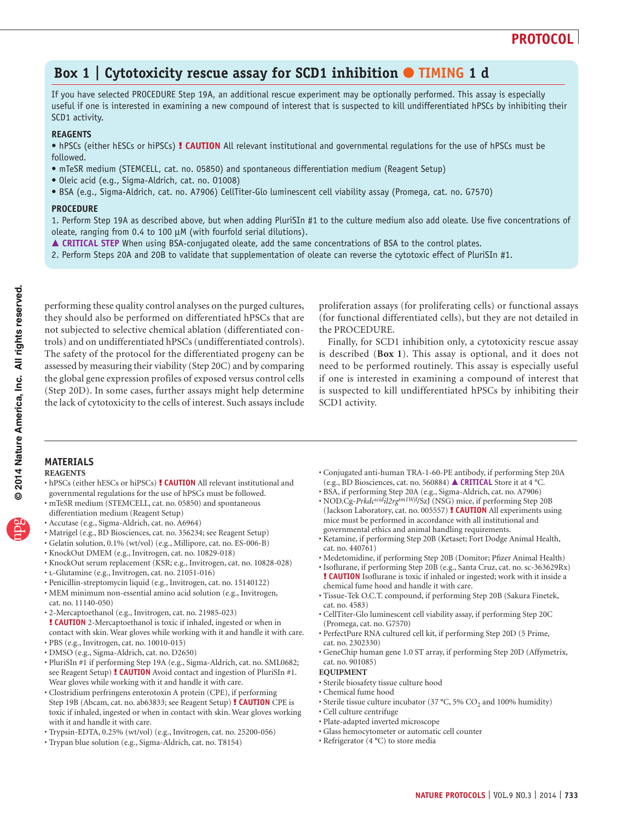## <span id="page-4-0"></span>**Box 1**  $\vert$  Cytotoxicity rescue assay for SCD1 inhibition ● TIMING 1 d

If you have selected PROCEDURE Step 19A, an additional rescue experiment may be optionally performed. This assay is especially useful if one is interested in examining a new compound of interest that is suspected to kill undifferentiated hPSCs by inhibiting their SCD1 activity.

#### **REAGENTS**

- hPSCs (either hESCs or hiPSCs) ! **CAUTION** All relevant institutional and governmental regulations for the use of hPSCs must be followed.
- mTeSR medium (STEMCELL, cat. no. 05850) and spontaneous differentiation medium (Reagent Setup)
- Oleic acid (e.g., Sigma-Aldrich, cat. no. O1008)
- BSA (e.g., Sigma-Aldrich, cat. no. A7906) CellTiter-Glo luminescent cell viability assay (Promega, cat. no. G7570)

#### **PROCEDURE**

1. Perform Step 19A as described above, but when adding PluriSIn #1 to the culture medium also add oleate. Use five concentrations of oleate, ranging from 0.4 to 100 µM (with fourfold serial dilutions).

- **CRITICAL STEP** When using BSA-conjugated oleate, add the same concentrations of BSA to the control plates.
- 2. Perform Steps 20A and 20B to validate that supplementation of oleate can reverse the cytotoxic effect of PluriSIn #1.

performing these quality control analyses on the purged cultures, they should also be performed on differentiated hPSCs that are not subjected to selective chemical ablation (differentiated controls) and on undifferentiated hPSCs (undifferentiated controls). The safety of the protocol for the differentiated progeny can be assessed by measuring their viability (Step 20C) and by comparing the global gene expression profiles of exposed versus control cells (Step 20D). In some cases, further assays might help determine the lack of cytotoxicity to the cells of interest. Such assays include

proliferation assays (for proliferating cells) or functional assays (for functional differentiated cells), but they are not detailed in the PROCEDURE.

Finally, for SCD1 inhibition only, a cytotoxicity rescue assay is described (**[Box 1](#page-4-0)**). This assay is optional, and it does not need to be performed routinely. This assay is especially useful if one is interested in examining a compound of interest that is suspected to kill undifferentiated hPSCs by inhibiting their SCD1 activity.

#### **MATERIALS REAGENTS**

- hPSCs (either hESCs or hiPSCs) **! CAUTION** All relevant institutional and
- governmental regulations for the use of hPSCs must be followed. mTeSR medium (STEMCELL, cat. no. 05850) and spontaneous •
- differentiation medium (Reagent Setup)
- Accutase (e.g., Sigma-Aldrich, cat. no. A6964) •
- Matrigel (e.g., BD Biosciences, cat. no. 356234; see Reagent Setup) •
- Gelatin solution, 0.1% (wt/vol) (e.g., Millipore, cat. no. ES-006-B) •
- KnockOut DMEM (e.g., Invitrogen, cat. no. 10829-018) •
- KnockOut serum replacement (KSR; e.g., Invitrogen, cat. no. 10828-028)
- L-Glutamine (e.g., Invitrogen, cat. no. 21051-016)
- Penicillin-streptomycin liquid (e.g., Invitrogen, cat. no. 15140122) MEM minimum non-essential amino acid solution (e.g., Invitrogen, •
- cat. no. 11140-050)
- 2-Mercaptoethanol (e.g., Invitrogen, cat. no. 21985-023) ! **CAUTION** 2-Mercaptoethanol is toxic if inhaled, ingested or when in contact with skin. Wear gloves while working with it and handle it with care.
- PBS (e.g., Invitrogen, cat. no. 10010-015) •
- DMSO (e.g., Sigma-Aldrich, cat. no. D2650) •
- PluriSIn #1 if performing Step 19A (e.g., Sigma-Aldrich, cat. no. SML0682; see Reagent Setup) **! CAUTION** Avoid contact and ingestion of PluriSIn #1. Wear gloves while working with it and handle it with care.
- Clostridium perfringens enterotoxin A protein (CPE), if performing Step 19B (Abcam, cat. no. ab63833; see Reagent Setup) ! **CAUTION** CPE is toxic if inhaled, ingested or when in contact with skin. Wear gloves working with it and handle it with care.
- Trypsin-EDTA, 0.25% (wt/vol) (e.g., Invitrogen, cat. no. 25200-056) •
- Trypan blue solution (e.g., Sigma-Aldrich, cat. no. T8154) •
- Conjugated anti-human TRA-1-60-PE antibody, if performing Step 20A (e.g., BD Biosciences, cat. no. 560884) **CRITICAL** Store it at 4 °C.
- BSA, if performing Step 20A (e.g., Sigma-Aldrich, cat. no. A7906) • NOD.Cg-*Prkdc<sup>scid</sup>il2rg<sup>tm1Wjl</sup>/SzJ* (NSG) mice, if performing Step 20B
- (Jackson Laboratory, cat. no. 005557) ! **CAUTION** All experiments using mice must be performed in accordance with all institutional and governmental ethics and animal handling requirements.
- Ketamine, if performing Step 20B (Ketaset; Fort Dodge Animal Health, cat. no. 440761)
- Medetomidine, if performing Step 20B (Domitor; Pfizer Animal Health)
- Isoflurane, if performing Step 20B (e.g., Santa Cruz, cat. no. sc-363629Rx) ! **CAUTION** Isoflurane is toxic if inhaled or ingested; work with it inside a chemical fume hood and handle it with care.
- Tissue-Tek O.C.T. compound, if performing Step 20B (Sakura Finetek, cat. no. 4583)
- CellTiter-Glo luminescent cell viability assay, if performing Step 20C (Promega, cat. no. G7570)
- PerfectPure RNA cultured cell kit, if performing Step 20D (5 Prime, cat. no. 2302330)
- GeneChip human gene 1.0 ST array, if performing Step 20D (Affymetrix, cat. no. 901085)

#### **EQUIPMENT**

- Sterile biosafety tissue culture hood •
- Chemical fume hood •
- Sterile tissue culture incubator (37 °C, 5%  $CO_2$  and 100% humidity)
- Cell culture centrifuge •
- Plate-adapted inverted microscope •
- Glass hemocytometer or automatic cell counter •
- Refrigerator (4 °C) to store media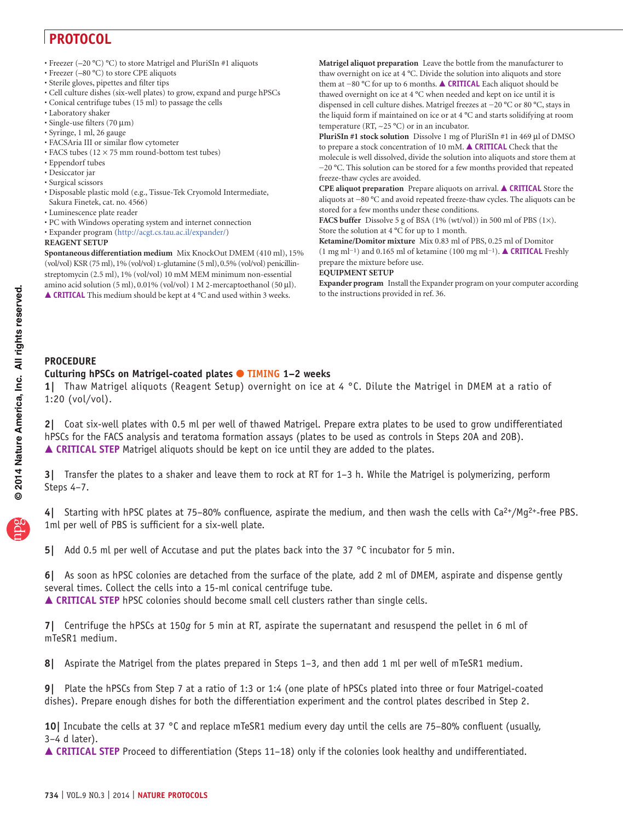- Freezer (-20 °C) °C) to store Matrigel and PluriSIn #1 aliquots
- Freezer (-80 °C) to store CPE aliquots
- Sterile gloves, pipettes and filter tips •
- Cell culture dishes (six-well plates) to grow, expand and purge hPSCs •
- Conical centrifuge tubes (15 ml) to passage the cells •
- Laboratory shaker •
- Single-use filters (70 μm)
- Syringe, 1 ml, 26 gauge •
- FACSAria III or similar flow cytometer •
- FACS tubes (12 × 75 mm round-bottom test tubes)
- Eppendorf tubes •
- Desiccator jar •
- Surgical scissors •
- Disposable plastic mold (e.g., Tissue-Tek Cryomold Intermediate, Sakura Finetek, cat. no. 4566)
- Luminescence plate reader •
- PC with Windows operating system and internet connection •
- Expander program [\(http://acgt.cs.tau.ac.il/expander/](http://acgt.cs.tau.ac.il/expander/)) •

#### **REAGENT SETUP**

**Spontaneous differentiation medium** Mix KnockOut DMEM (410 ml), 15% (vol/vol) KSR (75 ml), 1% (vol/vol) l-glutamine (5 ml), 0.5% (vol/vol) penicillinstreptomycin (2.5 ml), 1% (vol/vol) 10 mM MEM minimum non-essential amino acid solution (5 ml), 0.01% (vol/vol) 1 M 2-mercaptoethanol (50 µl). **△ CRITICAL** This medium should be kept at 4 °C and used within 3 weeks.

**Matrigel aliquot preparation** Leave the bottle from the manufacturer to thaw overnight on ice at 4 °C. Divide the solution into aliquots and store them at −80 °C for up to 6 months. **CRITICAL** Each aliquot should be thawed overnight on ice at 4 °C when needed and kept on ice until it is dispensed in cell culture dishes. Matrigel freezes at −20 °C or 80 °C, stays in the liquid form if maintained on ice or at 4 °C and starts solidifying at room temperature (RT,  $\sim$  25 °C) or in an incubator.

**PluriSIn #1 stock solution** Dissolve 1 mg of PluriSIn #1 in 469 µl of DMSO to prepare a stock concentration of 10 mM. **CRITICAL** Check that the

molecule is well dissolved, divide the solution into aliquots and store them at −20 °C. This solution can be stored for a few months provided that repeated freeze-thaw cycles are avoided.

**CPE aliquot preparation** Prepare aliquots on arrival. **CRITICAL** Store the aliquots at −80 °C and avoid repeated freeze-thaw cycles. The aliquots can be stored for a few months under these conditions.

**FACS buffer** Dissolve 5 g of BSA (1% (wt/vol)) in 500 ml of PBS (1×). Store the solution at 4 °C for up to 1 month.

**Ketamine/Domitor mixture** Mix 0.83 ml of PBS, 0.25 ml of Domitor (1 mg ml−1) and 0.165 ml of ketamine (100 mg ml−1). **CRITICAL** Freshly prepare the mixture before use.

**EQUIPMENT SETUP**

**Expander program** Install the Expander program on your computer according to the instructions provided in ref. [36.](#page-11-22)

#### **PROCEDURE**

#### **Culturing hPSCs on Matrigel-coated plates** ● **TIMING 1–2 weeks**

**1|** Thaw Matrigel aliquots (Reagent Setup) overnight on ice at 4 °C. Dilute the Matrigel in DMEM at a ratio of 1:20 (vol/vol).

**2|** Coat six-well plates with 0.5 ml per well of thawed Matrigel. Prepare extra plates to be used to grow undifferentiated hPSCs for the FACS analysis and teratoma formation assays (plates to be used as controls in Steps 20A and 20B). **CRITICAL STEP** Matrigel aliquots should be kept on ice until they are added to the plates.

**3|** Transfer the plates to a shaker and leave them to rock at RT for 1–3 h. While the Matrigel is polymerizing, perform Steps 4–7.

**4|** Starting with hPSC plates at 75–80% confluence, aspirate the medium, and then wash the cells with Ca2+/Mg2+-free PBS. 1ml per well of PBS is sufficient for a six-well plate.

**5|** Add 0.5 ml per well of Accutase and put the plates back into the 37 °C incubator for 5 min.

**6|** As soon as hPSC colonies are detached from the surface of the plate, add 2 ml of DMEM, aspirate and dispense gently several times. Collect the cells into a 15-ml conical centrifuge tube. **CRITICAL STEP** hPSC colonies should become small cell clusters rather than single cells.

**7|** Centrifuge the hPSCs at 150*g* for 5 min at RT, aspirate the supernatant and resuspend the pellet in 6 ml of mTeSR1 medium.

**8|** Aspirate the Matrigel from the plates prepared in Steps 1–3, and then add 1 ml per well of mTeSR1 medium.

**9|** Plate the hPSCs from Step 7 at a ratio of 1:3 or 1:4 (one plate of hPSCs plated into three or four Matrigel-coated dishes). Prepare enough dishes for both the differentiation experiment and the control plates described in Step 2.

**10|** Incubate the cells at 37 °C and replace mTeSR1 medium every day until the cells are 75–80% confluent (usually, 3–4 d later).

**CRITICAL STEP** Proceed to differentiation (Steps 11–18) only if the colonies look healthy and undifferentiated.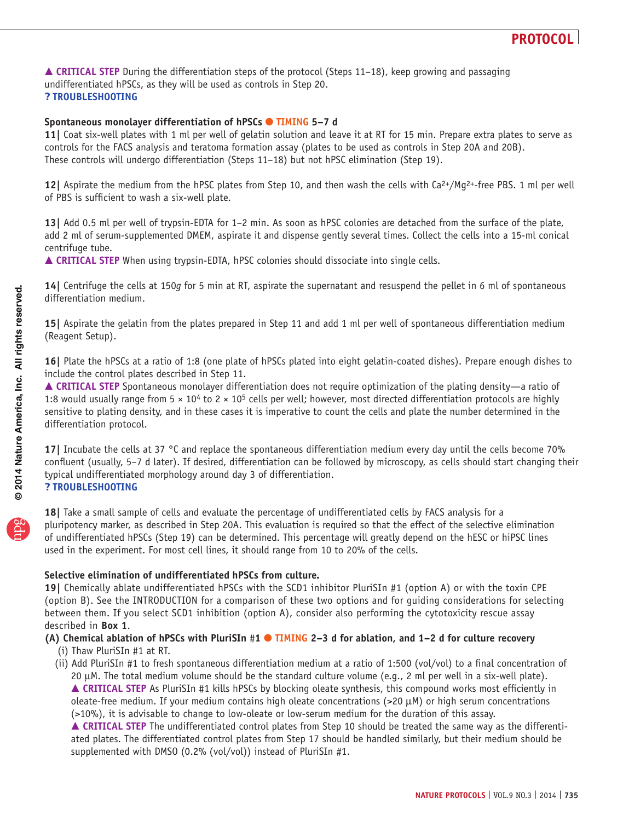**CRITICAL STEP** During the differentiation steps of the protocol (Steps 11–18), keep growing and passaging undifferentiated hPSCs, as they will be used as controls in Step 20. ? **TROUBLESHOOTING**

### **Spontaneous monolayer differentiation of hPSCs** ● **TIMING 5–7 d**

**11|** Coat six-well plates with 1 ml per well of gelatin solution and leave it at RT for 15 min. Prepare extra plates to serve as controls for the FACS analysis and teratoma formation assay (plates to be used as controls in Step 20A and 20B). These controls will undergo differentiation (Steps 11–18) but not hPSC elimination (Step 19).

**12|** Aspirate the medium from the hPSC plates from Step 10, and then wash the cells with Ca2+/Mg2+-free PBS. 1 ml per well of PBS is sufficient to wash a six-well plate.

**13|** Add 0.5 ml per well of trypsin-EDTA for 1–2 min. As soon as hPSC colonies are detached from the surface of the plate, add 2 ml of serum-supplemented DMEM, aspirate it and dispense gently several times. Collect the cells into a 15-ml conical centrifuge tube.

**CRITICAL STEP** When using trypsin-EDTA, hPSC colonies should dissociate into single cells.

**14|** Centrifuge the cells at 150*g* for 5 min at RT, aspirate the supernatant and resuspend the pellet in 6 ml of spontaneous differentiation medium.

**15|** Aspirate the gelatin from the plates prepared in Step 11 and add 1 ml per well of spontaneous differentiation medium (Reagent Setup).

**16|** Plate the hPSCs at a ratio of 1:8 (one plate of hPSCs plated into eight gelatin-coated dishes). Prepare enough dishes to include the control plates described in Step 11.

 **CRITICAL STEP** Spontaneous monolayer differentiation does not require optimization of the plating density—a ratio of 1:8 would usually range from  $5 \times 10^4$  to  $2 \times 10^5$  cells per well; however, most directed differentiation protocols are highly sensitive to plating density, and in these cases it is imperative to count the cells and plate the number determined in the differentiation protocol.

**17|** Incubate the cells at 37 °C and replace the spontaneous differentiation medium every day until the cells become 70% confluent (usually, 5–7 d later). If desired, differentiation can be followed by microscopy, as cells should start changing their typical undifferentiated morphology around day 3 of differentiation.

### ? **TROUBLESHOOTING**

**18|** Take a small sample of cells and evaluate the percentage of undifferentiated cells by FACS analysis for a pluripotency marker, as described in Step 20A. This evaluation is required so that the effect of the selective elimination of undifferentiated hPSCs (Step 19) can be determined. This percentage will greatly depend on the hESC or hiPSC lines used in the experiment. For most cell lines, it should range from 10 to 20% of the cells.

### **Selective elimination of undifferentiated hPSCs from culture.**

**19|** Chemically ablate undifferentiated hPSCs with the SCD1 inhibitor PluriSIn #1 (option A) or with the toxin CPE (option B). See the INTRODUCTION for a comparison of these two options and for guiding considerations for selecting between them. If you select SCD1 inhibition (option A), consider also performing the cytotoxicity rescue assay described in **[Box 1](#page-4-0)**.

## **(A) Chemical ablation of hPSCs with PluriSIn** #**1** ● **TIMING 2–3 d for ablation, and 1–2 d for culture recovery**

### (i) Thaw PluriSIn #1 at RT.

(ii) Add PluriSIn #1 to fresh spontaneous differentiation medium at a ratio of 1:500 (vol/vol) to a final concentration of 20 µM. The total medium volume should be the standard culture volume (e.g., 2 ml per well in a six-well plate). **CRITICAL STEP** As PluriSIn #1 kills hPSCs by blocking oleate synthesis, this compound works most efficiently in oleate-free medium. If your medium contains high oleate concentrations (>20 µM) or high serum concentrations (>10%), it is advisable to change to low-oleate or low-serum medium for the duration of this assay.

 **CRITICAL STEP** The undifferentiated control plates from Step 10 should be treated the same way as the differentiated plates. The differentiated control plates from Step 17 should be handled similarly, but their medium should be supplemented with DMSO (0.2% (vol/vol)) instead of PluriSIn #1.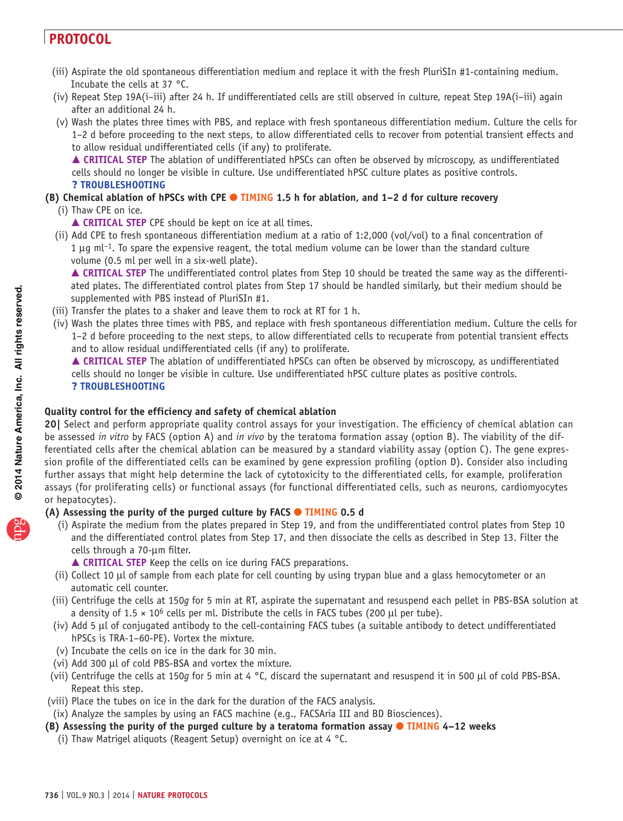- (iii) Aspirate the old spontaneous differentiation medium and replace it with the fresh PluriSIn #1-containing medium. Incubate the cells at 37 °C.
- (iv) Repeat Step 19A(i–iii) after 24 h. If undifferentiated cells are still observed in culture, repeat Step 19A(i–iii) again after an additional 24 h.
- (v) Wash the plates three times with PBS, and replace with fresh spontaneous differentiation medium. Culture the cells for 1–2 d before proceeding to the next steps, to allow differentiated cells to recover from potential transient effects and to allow residual undifferentiated cells (if any) to proliferate.

■ CRITICAL STEP The ablation of undifferentiated hPSCs can often be observed by microscopy, as undifferentiated cells should no longer be visible in culture. Use undifferentiated hPSC culture plates as positive controls. ? **TROUBLESHOOTING**

### **(B) Chemical ablation of hPSCs with CPE** ● **TIMING 1.5 h for ablation, and 1–2 d for culture recovery**

(i) Thaw CPE on ice.

**CRITICAL STEP** CPE should be kept on ice at all times.

(ii) Add CPE to fresh spontaneous differentiation medium at a ratio of 1:2,000 (vol/vol) to a final concentration of 1  $\mu$ g ml<sup>-1</sup>. To spare the expensive reagent, the total medium volume can be lower than the standard culture volume (0.5 ml per well in a six-well plate).

 **CRITICAL STEP** The undifferentiated control plates from Step 10 should be treated the same way as the differentiated plates. The differentiated control plates from Step 17 should be handled similarly, but their medium should be supplemented with PBS instead of PluriSIn #1.

- (iii) Transfer the plates to a shaker and leave them to rock at RT for 1 h.
- (iv) Wash the plates three times with PBS, and replace with fresh spontaneous differentiation medium. Culture the cells for 1–2 d before proceeding to the next steps, to allow differentiated cells to recuperate from potential transient effects and to allow residual undifferentiated cells (if any) to proliferate.

■ CRITICAL STEP The ablation of undifferentiated hPSCs can often be observed by microscopy, as undifferentiated cells should no longer be visible in culture. Use undifferentiated hPSC culture plates as positive controls. ? **TROUBLESHOOTING**

### **Quality control for the efficiency and safety of chemical ablation**

**20|** Select and perform appropriate quality control assays for your investigation. The efficiency of chemical ablation can be assessed *in vitro* by FACS (option A) and *in vivo* by the teratoma formation assay (option B). The viability of the differentiated cells after the chemical ablation can be measured by a standard viability assay (option C). The gene expression profile of the differentiated cells can be examined by gene expression profiling (option D). Consider also including further assays that might help determine the lack of cytotoxicity to the differentiated cells, for example, proliferation assays (for proliferating cells) or functional assays (for functional differentiated cells, such as neurons, cardiomyocytes or hepatocytes).

### **(A) Assessing the purity of the purged culture by FACS** ● **TIMING 0.5 d**

(i) Aspirate the medium from the plates prepared in Step 19, and from the undifferentiated control plates from Step 10 and the differentiated control plates from Step 17, and then dissociate the cells as described in Step 13. Filter the cells through a 70-µm filter.

**CRITICAL STEP** Keep the cells on ice during FACS preparations.

- (ii) Collect 10 µl of sample from each plate for cell counting by using trypan blue and a glass hemocytometer or an automatic cell counter.
- (iii) Centrifuge the cells at 150*g* for 5 min at RT, aspirate the supernatant and resuspend each pellet in PBS-BSA solution at a density of  $1.5 \times 10^6$  cells per ml. Distribute the cells in FACS tubes (200 µl per tube).
- (iv) Add 5 µl of conjugated antibody to the cell-containing FACS tubes (a suitable antibody to detect undifferentiated hPSCs is TRA-1–60-PE). Vortex the mixture.
- (v) Incubate the cells on ice in the dark for 30 min.
- (vi) Add 300 µl of cold PBS-BSA and vortex the mixture.
- (vii) Centrifuge the cells at 150*g* for 5 min at 4 °C, discard the supernatant and resuspend it in 500 µl of cold PBS-BSA. Repeat this step.
- (viii) Place the tubes on ice in the dark for the duration of the FACS analysis.
- (ix) Analyze the samples by using an FACS machine (e.g., FACSAria III and BD Biosciences).
- **(B) Assessing the purity of the purged culture by a teratoma formation assay TIMING 4–12 weeks**
	- (i) Thaw Matrigel aliquots (Reagent Setup) overnight on ice at 4 °C.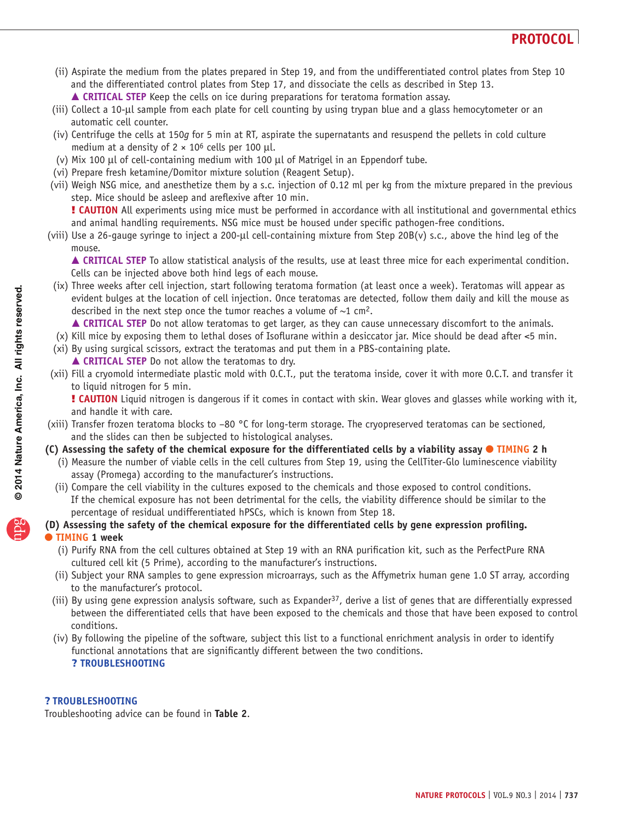- (ii) Aspirate the medium from the plates prepared in Step 19, and from the undifferentiated control plates from Step 10 and the differentiated control plates from Step 17, and dissociate the cells as described in Step 13. **△ CRITICAL STEP** Keep the cells on ice during preparations for teratoma formation assay.
- (iii) Collect a 10-µl sample from each plate for cell counting by using trypan blue and a glass hemocytometer or an automatic cell counter.
- (iv) Centrifuge the cells at 150*g* for 5 min at RT, aspirate the supernatants and resuspend the pellets in cold culture medium at a density of  $2 \times 10^6$  cells per 100 µl.
- (v) Mix 100 µl of cell-containing medium with 100 µl of Matrigel in an Eppendorf tube.
- (vi) Prepare fresh ketamine/Domitor mixture solution (Reagent Setup).
- (vii) Weigh NSG mice, and anesthetize them by a s.c. injection of 0.12 ml per kg from the mixture prepared in the previous step. Mice should be asleep and areflexive after 10 min.

! **CAUTION** All experiments using mice must be performed in accordance with all institutional and governmental ethics and animal handling requirements. NSG mice must be housed under specific pathogen-free conditions.

(viii) Use a 26-gauge syringe to inject a 200-µl cell-containing mixture from Step 20B(v) s.c., above the hind leg of the mouse.

 **CRITICAL STEP** To allow statistical analysis of the results, use at least three mice for each experimental condition. Cells can be injected above both hind legs of each mouse.

- (ix) Three weeks after cell injection, start following teratoma formation (at least once a week). Teratomas will appear as evident bulges at the location of cell injection. Once teratomas are detected, follow them daily and kill the mouse as described in the next step once the tumor reaches a volume of  $\sim$ 1 cm<sup>2</sup>.
	- **△ CRITICAL STEP** Do not allow teratomas to get larger, as they can cause unnecessary discomfort to the animals.
- (x) Kill mice by exposing them to lethal doses of Isoflurane within a desiccator jar. Mice should be dead after <5 min.
- (xi) By using surgical scissors, extract the teratomas and put them in a PBS-containing plate.
	- **CRITICAL STEP** Do not allow the teratomas to dry.
- (xii) Fill a cryomold intermediate plastic mold with O.C.T., put the teratoma inside, cover it with more O.C.T. and transfer it to liquid nitrogen for 5 min.

! **CAUTION** Liquid nitrogen is dangerous if it comes in contact with skin. Wear gloves and glasses while working with it, and handle it with care.

(xiii) Transfer frozen teratoma blocks to –80 °C for long-term storage. The cryopreserved teratomas can be sectioned, and the slides can then be subjected to histological analyses.

### **(C) Assessing the safety of the chemical exposure for the differentiated cells by a viability assay** ● **TIMING 2 h**

- (i) Measure the number of viable cells in the cell cultures from Step 19, using the CellTiter-Glo luminescence viability assay (Promega) according to the manufacturer's instructions.
- (ii) Compare the cell viability in the cultures exposed to the chemicals and those exposed to control conditions. If the chemical exposure has not been detrimental for the cells, the viability difference should be similar to the percentage of residual undifferentiated hPSCs, which is known from Step 18.

### **(D) Assessing the safety of the chemical exposure for the differentiated cells by gene expression profiling.** ● **TIMING 1 week**

- (i) Purify RNA from the cell cultures obtained at Step 19 with an RNA purification kit, such as the PerfectPure RNA cultured cell kit (5 Prime), according to the manufacturer's instructions.
- (ii) Subject your RNA samples to gene expression microarrays, such as the Affymetrix human gene 1.0 ST array, according to the manufacturer's protocol.
- (iii) By using gene expression analysis software, such as Expander<sup>37</sup>, derive a list of genes that are differentially expressed between the differentiated cells that have been exposed to the chemicals and those that have been exposed to control conditions.
- (iv) By following the pipeline of the software, subject this list to a functional enrichment analysis in order to identify functional annotations that are significantly different between the two conditions. ? **TROUBLESHOOTING**

### ? **TROUBLESHOOTING**

Troubleshooting advice can be found in **[Table 2](#page-9-0)**.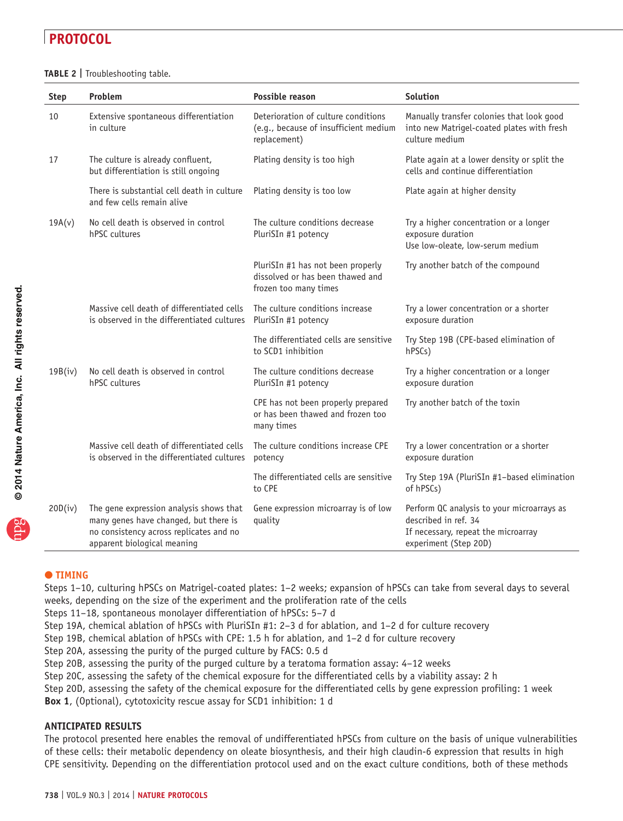#### <span id="page-9-0"></span>**Table 2 |** Troubleshooting table.

| <b>Step</b> | Problem                                                                                                                                                    | Possible reason                                                                                | Solution                                                                                                                           |
|-------------|------------------------------------------------------------------------------------------------------------------------------------------------------------|------------------------------------------------------------------------------------------------|------------------------------------------------------------------------------------------------------------------------------------|
| 10          | Extensive spontaneous differentiation<br>in culture                                                                                                        | Deterioration of culture conditions<br>(e.g., because of insufficient medium<br>replacement)   | Manually transfer colonies that look good<br>into new Matrigel-coated plates with fresh<br>culture medium                          |
| 17          | The culture is already confluent,<br>but differentiation is still ongoing                                                                                  | Plating density is too high                                                                    | Plate again at a lower density or split the<br>cells and continue differentiation                                                  |
|             | There is substantial cell death in culture<br>and few cells remain alive                                                                                   | Plating density is too low                                                                     | Plate again at higher density                                                                                                      |
| 19A(v)      | No cell death is observed in control<br>hPSC cultures                                                                                                      | The culture conditions decrease<br>PluriSIn #1 potency                                         | Try a higher concentration or a longer<br>exposure duration<br>Use low-oleate, low-serum medium                                    |
|             |                                                                                                                                                            | PluriSIn #1 has not been properly<br>dissolved or has been thawed and<br>frozen too many times | Try another batch of the compound                                                                                                  |
|             | Massive cell death of differentiated cells<br>is observed in the differentiated cultures                                                                   | The culture conditions increase<br>PluriSIn #1 potency                                         | Try a lower concentration or a shorter<br>exposure duration                                                                        |
|             |                                                                                                                                                            | The differentiated cells are sensitive<br>to SCD1 inhibition                                   | Try Step 19B (CPE-based elimination of<br>hPSCs)                                                                                   |
| 19B(iv)     | No cell death is observed in control<br>hPSC cultures                                                                                                      | The culture conditions decrease<br>PluriSIn #1 potency                                         | Try a higher concentration or a longer<br>exposure duration                                                                        |
|             |                                                                                                                                                            | CPE has not been properly prepared<br>or has been thawed and frozen too<br>many times          | Try another batch of the toxin                                                                                                     |
|             | Massive cell death of differentiated cells<br>is observed in the differentiated cultures                                                                   | The culture conditions increase CPE<br>potency                                                 | Try a lower concentration or a shorter<br>exposure duration                                                                        |
|             |                                                                                                                                                            | The differentiated cells are sensitive<br>to CPE                                               | Try Step 19A (PluriSIn #1-based elimination<br>of hPSCs)                                                                           |
| 20D(iv)     | The gene expression analysis shows that<br>many genes have changed, but there is<br>no consistency across replicates and no<br>apparent biological meaning | Gene expression microarray is of low<br>quality                                                | Perform QC analysis to your microarrays as<br>described in ref. 34<br>If necessary, repeat the microarray<br>experiment (Step 20D) |

#### ● **TIMING**

Steps 1–10, culturing hPSCs on Matrigel-coated plates: 1–2 weeks; expansion of hPSCs can take from several days to several weeks, depending on the size of the experiment and the proliferation rate of the cells

Steps 11–18, spontaneous monolayer differentiation of hPSCs: 5–7 d

Step 19A, chemical ablation of hPSCs with PluriSIn #1: 2–3 d for ablation, and 1–2 d for culture recovery

Step 19B, chemical ablation of hPSCs with CPE: 1.5 h for ablation, and 1–2 d for culture recovery

Step 20A, assessing the purity of the purged culture by FACS: 0.5 d

Step 20B, assessing the purity of the purged culture by a teratoma formation assay: 4–12 weeks

Step 20C, assessing the safety of the chemical exposure for the differentiated cells by a viability assay: 2 h

Step 20D, assessing the safety of the chemical exposure for the differentiated cells by gene expression profiling: 1 week

**Box 1**, (Optional), cytotoxicity rescue assay for SCD1 inhibition: 1 d

#### **ANTICIPATED RESULTS**

The protocol presented here enables the removal of undifferentiated hPSCs from culture on the basis of unique vulnerabilities of these cells: their metabolic dependency on oleate biosynthesis, and their high claudin-6 expression that results in high CPE sensitivity. Depending on the differentiation protocol used and on the exact culture conditions, both of these methods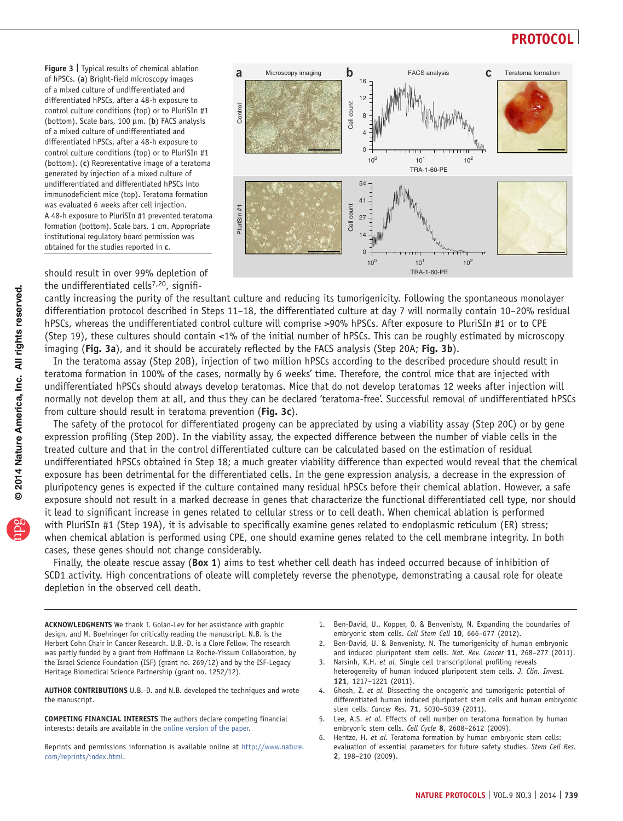<span id="page-10-4"></span>**a b c Figure 3 <sup>|</sup>** Typical results of chemical ablation of hPSCs. (**a**) Bright-field microscopy images of a mixed culture of undifferentiated and differentiated hPSCs, after a 48-h exposure to control culture conditions (top) or to PluriSIn #1 (bottom). Scale bars, 100 µm. (**b**) FACS analysis of a mixed culture of undifferentiated and differentiated hPSCs, after a 48-h exposure to control culture conditions (top) or to PluriSIn #1 (bottom). (**c**) Representative image of a teratoma generated by injection of a mixed culture of undifferentiated and differentiated hPSCs into immunodeficient mice (top). Teratoma formation was evaluated 6 weeks after cell injection. A 48-h exposure to PluriSIn #1 prevented teratoma formation (bottom). Scale bars, 1 cm. Appropriate institutional regulatory board permission was obtained for the studies reported in **c**.

should result in over 99% depletion of the undifferentiated cells[7,20](#page-11-0), signifi-



cantly increasing the purity of the resultant culture and reducing its tumorigenicity. Following the spontaneous monolayer differentiation protocol described in Steps 11–18, the differentiated culture at day 7 will normally contain 10–20% residual hPSCs, whereas the undifferentiated control culture will comprise >90% hPSCs. After exposure to PluriSIn #1 or to CPE (Step 19), these cultures should contain <1% of the initial number of hPSCs. This can be roughly estimated by microscopy imaging (**[Fig. 3a](#page-10-4)**), and it should be accurately reflected by the FACS analysis (Step 20A; **[Fig. 3b](#page-10-4)**).

In the teratoma assay (Step 20B), injection of two million hPSCs according to the described procedure should result in teratoma formation in 100% of the cases, normally by 6 weeks' time. Therefore, the control mice that are injected with undifferentiated hPSCs should always develop teratomas. Mice that do not develop teratomas 12 weeks after injection will normally not develop them at all, and thus they can be declared 'teratoma-free'. Successful removal of undifferentiated hPSCs from culture should result in teratoma prevention (**[Fig. 3c](#page-10-4)**).

The safety of the protocol for differentiated progeny can be appreciated by using a viability assay (Step 20C) or by gene expression profiling (Step 20D). In the viability assay, the expected difference between the number of viable cells in the treated culture and that in the control differentiated culture can be calculated based on the estimation of residual undifferentiated hPSCs obtained in Step 18; a much greater viability difference than expected would reveal that the chemical exposure has been detrimental for the differentiated cells. In the gene expression analysis, a decrease in the expression of pluripotency genes is expected if the culture contained many residual hPSCs before their chemical ablation. However, a safe exposure should not result in a marked decrease in genes that characterize the functional differentiated cell type, nor should it lead to significant increase in genes related to cellular stress or to cell death. When chemical ablation is performed with PluriSIn #1 (Step 19A), it is advisable to specifically examine genes related to endoplasmic reticulum (ER) stress; when chemical ablation is performed using CPE, one should examine genes related to the cell membrane integrity. In both cases, these genes should not change considerably.

Finally, the oleate rescue assay (**[Box 1](#page-4-0)**) aims to test whether cell death has indeed occurred because of inhibition of SCD1 activity. High concentrations of oleate will completely reverse the phenotype, demonstrating a causal role for oleate depletion in the observed cell death.

**Acknowledgments** We thank T. Golan-Lev for her assistance with graphic design, and M. Boehringer for critically reading the manuscript. N.B. is the Herbert Cohn Chair in Cancer Research. U.B.-D. is a Clore Fellow. The research was partly funded by a grant from Hoffmann La Roche-Yissum Collaboration, by the Israel Science Foundation (ISF) (grant no. 269/12) and by the ISF-Legacy Heritage Biomedical Science Partnership (grant no. 1252/12).

**AUTHOR CONTRIBUTIONS** U.B.-D. and N.B. developed the techniques and wrote the manuscript.

**COMPETING FINANCIAL INTERESTS** The authors declare competing financial interests: details are available [in the](mailit:in the online version of the paper) [online version of the paper](http://www.nature.com/doifinder/10.1038/nprot.2014.050).

- <span id="page-10-0"></span>1. Ben-David, U., Kopper, O. & Benvenisty, N. Expanding the boundaries of embryonic stem cells. *Cell Stem Cell* **10**, 666–677 (2012).
- <span id="page-10-1"></span>2. Ben-David, U. & Benvenisty, N. The tumorigenicity of human embryonic and induced pluripotent stem cells. *Nat. Rev. Cancer* **11**, 268–277 (2011).
- <span id="page-10-2"></span>3. Narsinh, K.H. *et al.* Single cell transcriptional profiling reveals heterogeneity of human induced pluripotent stem cells. *J. Clin. Invest.* **121**, 1217–1221 (2011).
- 4. Ghosh, Z. *et al.* Dissecting the oncogenic and tumorigenic potential of differentiated human induced pluripotent stem cells and human embryonic stem cells. *Cancer Res.* **71**, 5030–5039 (2011).
- <span id="page-10-3"></span>5. Lee, A.S. *et al.* Effects of cell number on teratoma formation by human embryonic stem cells. *Cell Cycle* **8**, 2608–2612 (2009).
- 6. Hentze, H. *et al.* Teratoma formation by human embryonic stem cells: evaluation of essential parameters for future safety studies. *Stem Cell Res.* **2**, 198–210 (2009).

Reprints and permissions information is available online at [http://www.nature.](http://www.nature.com/reprints/index.html) [com/reprints/index.html](http://www.nature.com/reprints/index.html).